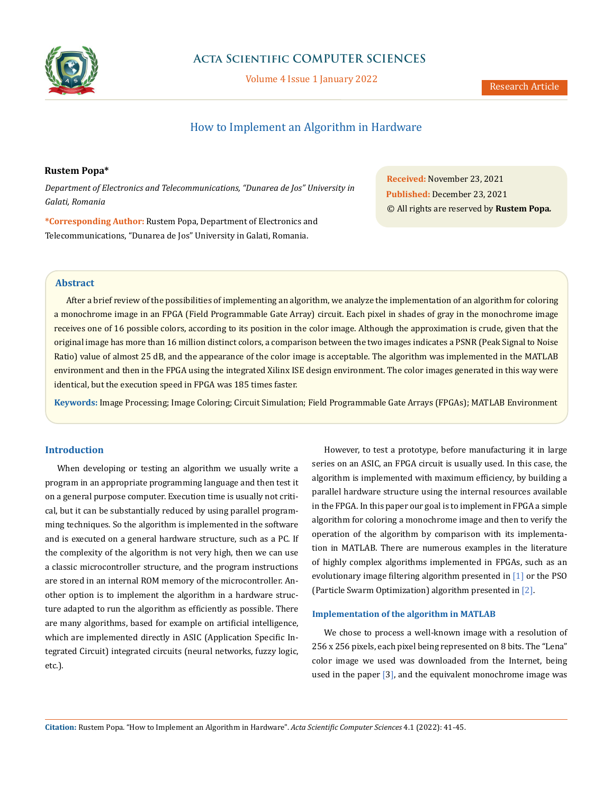

# **Acta Scientific COMPUTER SCIENCES**

Volume 4 Issue 1 January 2022

# How to Implement an Algorithm in Hardware

# **Rustem Popa\***

*Department of Electronics and Telecommunications, "Dunarea de Jos" University in Galati, Romania*

**\*Corresponding Author:** Rustem Popa, Department of Electronics and Telecommunications, "Dunarea de Jos" University in Galati, Romania.

**Received:** November 23, 2021 **Published:** December 23, 2021 © All rights are reserved by **Rustem Popa***.*

### **Abstract**

After a brief review of the possibilities of implementing an algorithm, we analyze the implementation of an algorithm for coloring a monochrome image in an FPGA (Field Programmable Gate Array) circuit. Each pixel in shades of gray in the monochrome image receives one of 16 possible colors, according to its position in the color image. Although the approximation is crude, given that the original image has more than 16 million distinct colors, a comparison between the two images indicates a PSNR (Peak Signal to Noise Ratio) value of almost 25 dB, and the appearance of the color image is acceptable. The algorithm was implemented in the MATLAB environment and then in the FPGA using the integrated Xilinx ISE design environment. The color images generated in this way were identical, but the execution speed in FPGA was 185 times faster.

**Keywords:** Image Processing; Image Coloring; Circuit Simulation; Field Programmable Gate Arrays (FPGAs); MATLAB Environment

## **Introduction**

When developing or testing an algorithm we usually write a program in an appropriate programming language and then test it on a general purpose computer. Execution time is usually not critical, but it can be substantially reduced by using parallel programming techniques. So the algorithm is implemented in the software and is executed on a general hardware structure, such as a PC. If the complexity of the algorithm is not very high, then we can use a classic microcontroller structure, and the program instructions are stored in an internal ROM memory of the microcontroller. Another option is to implement the algorithm in a hardware structure adapted to run the algorithm as efficiently as possible. There are many algorithms, based for example on artificial intelligence, which are implemented directly in ASIC (Application Specific Integrated Circuit) integrated circuits (neural networks, fuzzy logic, etc.).

However, to test a prototype, before manufacturing it in large series on an ASIC, an FPGA circuit is usually used. In this case, the algorithm is implemented with maximum efficiency, by building a parallel hardware structure using the internal resources available in the FPGA. In this paper our goal is to implement in FPGA a simple algorithm for coloring a monochrome image and then to verify the operation of the algorithm by comparison with its implementation in MATLAB. There are numerous examples in the literature of highly complex algorithms implemented in FPGAs, such as an evolutionary image filtering algorithm presented in [1] or the PSO (Particle Swarm Optimization) algorithm presented in [2].

#### **Implementation of the algorithm in MATLAB**

We chose to process a well-known image with a resolution of 256 x 256 pixels, each pixel being represented on 8 bits. The "Lena" color image we used was downloaded from the Internet, being used in the paper [3], and the equivalent monochrome image was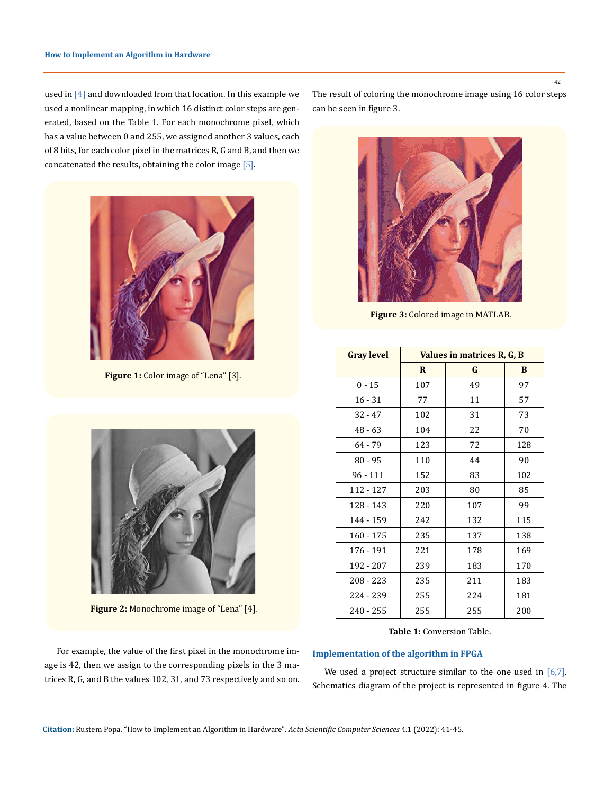used in [4] and downloaded from that location. In this example we used a nonlinear mapping, in which 16 distinct color steps are generated, based on the Table 1. For each monochrome pixel, which has a value between 0 and 255, we assigned another 3 values, each of 8 bits, for each color pixel in the matrices R, G and B, and then we concatenated the results, obtaining the color image [5].



 **Figure 1:** Color image of "Lena" [3].



Figure 2: Monochrome image of "Lena" [4].

The result of coloring the monochrome image using 16 color steps can be seen in figure 3.



 **Figure 3:** Colored image in MATLAB.

| <b>Gray level</b> | Values in matrices R, G, B |     |          |  |  |  |
|-------------------|----------------------------|-----|----------|--|--|--|
|                   | $\mathbf{R}$               | G   | B        |  |  |  |
| $0 - 15$          | 107                        | 49  | 97       |  |  |  |
| $16 - 31$         | 77                         | 11  | 57       |  |  |  |
| $32 - 47$         | 102                        | 31  | 73<br>70 |  |  |  |
| $48 - 63$         | 104                        | 22  |          |  |  |  |
| 64 - 79           | 123                        | 72  | 128      |  |  |  |
| $80 - 95$         | 110                        | 44  | 90       |  |  |  |
| $96 - 111$        | 152                        | 83  | 102      |  |  |  |
| 112 - 127         | 203                        | 80  | 85       |  |  |  |
| 128 - 143         | 220                        | 107 | 99       |  |  |  |
| 144 - 159         | 242                        | 132 | 115      |  |  |  |
| $160 - 175$       | 235                        | 137 | 138      |  |  |  |
| 176 - 191         | 221                        | 178 | 169      |  |  |  |
| 192 - 207         | 239                        | 183 | 170      |  |  |  |
| $208 - 223$       | 235                        | 211 | 183      |  |  |  |
| 224 - 239         | 255                        | 224 | 181      |  |  |  |
| $240 - 255$       | 255                        | 255 | 200      |  |  |  |

**Table 1:** Conversion Table.

### **Implementation of the algorithm in FPGA**

We used a project structure similar to the one used in  $[6,7]$ . Schematics diagram of the project is represented in figure 4. The

For example, the value of the first pixel in the monochrome image is 42, then we assign to the corresponding pixels in the 3 matrices R, G, and B the values 102, 31, and 73 respectively and so on. 42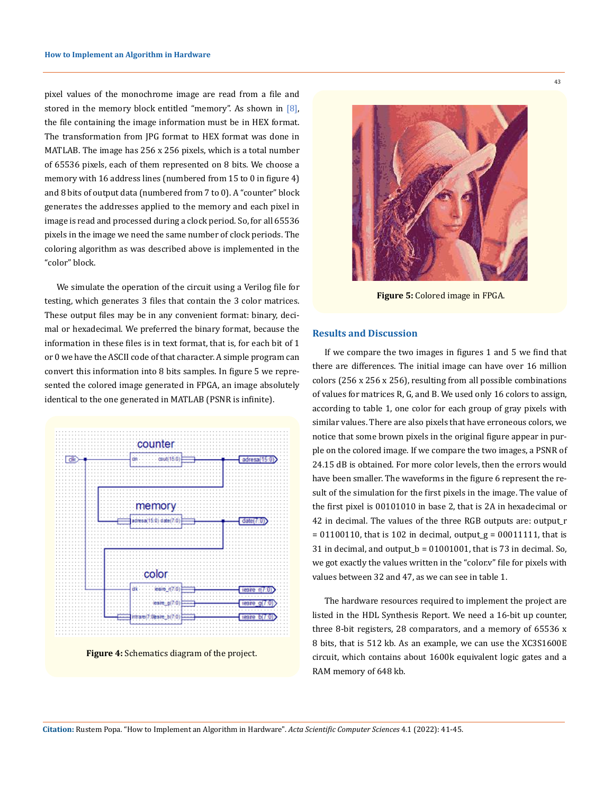pixel values of the monochrome image are read from a file and stored in the memory block entitled "memory". As shown in [8], the file containing the image information must be in HEX format. The transformation from JPG format to HEX format was done in MATLAB. The image has 256 x 256 pixels, which is a total number of 65536 pixels, each of them represented on 8 bits. We choose a memory with 16 address lines (numbered from 15 to 0 in figure 4) and 8 bits of output data (numbered from 7 to 0). A "counter" block generates the addresses applied to the memory and each pixel in image is read and processed during a clock period. So, for all 65536 pixels in the image we need the same number of clock periods. The coloring algorithm as was described above is implemented in the "color" block.

We simulate the operation of the circuit using a Verilog file for testing, which generates 3 files that contain the 3 color matrices. These output files may be in any convenient format: binary, decimal or hexadecimal. We preferred the binary format, because the information in these files is in text format, that is, for each bit of 1 or 0 we have the ASCII code of that character. A simple program can convert this information into 8 bits samples. In figure 5 we represented the colored image generated in FPGA, an image absolutely identical to the one generated in MATLAB (PSNR is infinite).



 **Figure 4:** Schematics diagram of the project.



 **Figure 5:** Colored image in FPGA.

#### **Results and Discussion**

If we compare the two images in figures 1 and 5 we find that there are differences. The initial image can have over 16 million colors (256 x 256 x 256), resulting from all possible combinations of values for matrices R, G, and B. We used only 16 colors to assign, according to table 1, one color for each group of gray pixels with similar values. There are also pixels that have erroneous colors, we notice that some brown pixels in the original figure appear in purple on the colored image. If we compare the two images, a PSNR of 24.15 dB is obtained. For more color levels, then the errors would have been smaller. The waveforms in the figure 6 represent the result of the simulation for the first pixels in the image. The value of the first pixel is 00101010 in base 2, that is 2A in hexadecimal or 42 in decimal. The values of the three RGB outputs are: output\_r  $= 01100110$ , that is 102 in decimal, output  $g = 00011111$ , that is 31 in decimal, and output  $b = 01001001$ , that is 73 in decimal. So, we got exactly the values written in the "color.v" file for pixels with values between 32 and 47, as we can see in table 1.

The hardware resources required to implement the project are listed in the HDL Synthesis Report. We need a 16-bit up counter, three 8-bit registers, 28 comparators, and a memory of 65536 x 8 bits, that is 512 kb. As an example, we can use the XC3S1600E circuit, which contains about 1600k equivalent logic gates and a RAM memory of 648 kb.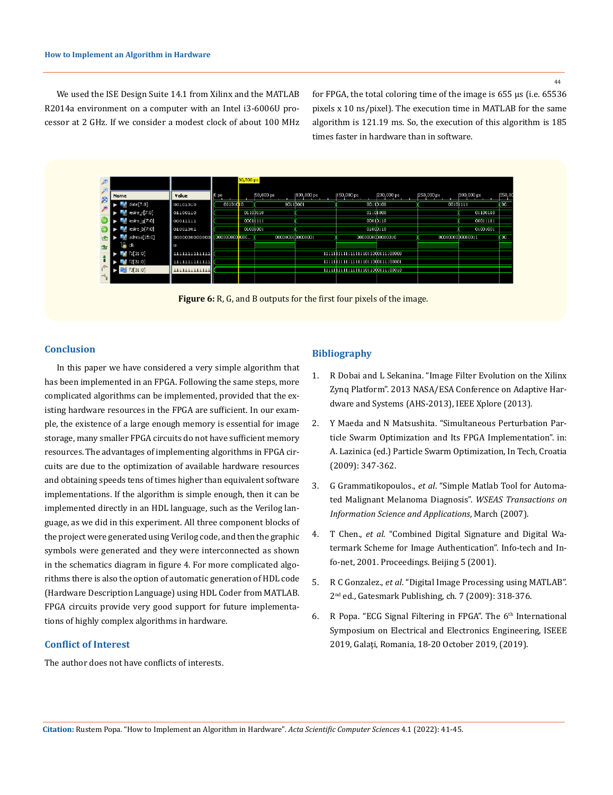44

We used the ISE Design Suite 14.1 from Xilinx and the MATLAB R2014a environment on a computer with an Intel i3-6006U processor at 2 GHz. If we consider a modest clock of about 100 MHz for FPGA, the total coloring time of the image is 655 μs (i.e. 65536 pixels x 10 ns/pixel). The execution time in MATLAB for the same algorithm is 121.19 ms. So, the execution of this algorithm is 185 times faster in hardware than in software.

|   |                          |                |                 | 30,500 ps   |                  |             |                                  |                  |                  |            |          |
|---|--------------------------|----------------|-----------------|-------------|------------------|-------------|----------------------------------|------------------|------------------|------------|----------|
| g | Name                     | Value          | 0 <sub>ps</sub> |             | 50,000 ps        | 1100,000 ps | 150,000 ps                       | 200,000 ps       | (250,000 ps)     | 300,000 ps | [350, 0] |
|   | date[7:0]                | 00101010       | 00101010        |             | 00110001         |             |                                  | 00110100         | 0010111          |            | 00       |
|   | $\epsilon$ iesire_r[7:0] | 01100110       |                 | 01100110    |                  |             |                                  | 01101000         |                  | 01100110   |          |
|   | esire_g[7:0]             | 00011111       |                 | 0001111     |                  |             |                                  | 00010110         |                  | 00011111   |          |
|   | esire_b[7:0]             | 01001001       |                 | 01001001    |                  |             |                                  | 0100D110         |                  | 01001001   |          |
|   | adresa[15:0]             | 0000000000000  | 00000000        | <b>TOOL</b> | 0000000000000001 |             |                                  | 0000000000000010 | 0000000000000011 |            | m.       |
| 雪 | rlk                      | $\Omega$       |                 |             |                  |             |                                  |                  |                  |            |          |
|   | f1[31:0]                 | 11111111111111 |                 |             |                  |             | 11111111111111111011000111100000 |                  |                  |            |          |
|   | F2[31:0]                 | 111111111111   |                 |             |                  |             | 11111111111111111011000111100001 |                  |                  |            |          |
|   | F3[31:0]                 | 1111111111111  |                 |             |                  |             | 11111111111111111011000111100010 |                  |                  |            |          |
|   |                          |                |                 |             |                  |             |                                  |                  |                  |            |          |



#### **Conclusion**

In this paper we have considered a very simple algorithm that has been implemented in an FPGA. Following the same steps, more complicated algorithms can be implemented, provided that the existing hardware resources in the FPGA are sufficient. In our example, the existence of a large enough memory is essential for image storage, many smaller FPGA circuits do not have sufficient memory resources. The advantages of implementing algorithms in FPGA circuits are due to the optimization of available hardware resources and obtaining speeds tens of times higher than equivalent software implementations. If the algorithm is simple enough, then it can be implemented directly in an HDL language, such as the Verilog language, as we did in this experiment. All three component blocks of the project were generated using Verilog code, and then the graphic symbols were generated and they were interconnected as shown in the schematics diagram in figure 4. For more complicated algorithms there is also the option of automatic generation of HDL code (Hardware Description Language) using HDL Coder from MATLAB. FPGA circuits provide very good support for future implementations of highly complex algorithms in hardware.

## **Conflict of Interest**

The author does not have conflicts of interests.

# **Bibliography**

- 1. [R Dobai and L Sekanina. "Image Filter Evolution on the Xilinx](https://ieeexplore.ieee.org/document/6604241)  [Zynq Platform". 2013 NASA/ESA Conference on Adaptive Har](https://ieeexplore.ieee.org/document/6604241)[dware and Systems \(AHS-2013\), IEEE Xplore \(2013\).](https://ieeexplore.ieee.org/document/6604241)
- 2. Y Maeda and N Matsushita. "Simultaneous Perturbation Particle Swarm Optimization and Its FPGA Implementation". in: A. Lazinica (ed.) Particle Swarm Optimization, In Tech, Croatia (2009): 347-362.
- 3. G Grammatikopoulos., *et al*[. "Simple Matlab Tool for Automa](https://www.researchgate.net/publication/259296904)[ted Malignant Melanoma Diagnosis".](https://www.researchgate.net/publication/259296904) *WSEAS Transactions on [Information Science and Applications](https://www.researchgate.net/publication/259296904)*, March (2007).
- 4. T Chen., *et al*[. "Combined Digital Signature and Digital Wa](https://www.researchgate.net/publication/3935609)[termark Scheme for Image Authentication". Info-tech and In](https://www.researchgate.net/publication/3935609)[fo-net, 2001. Proceedings. Beijing 5 \(2001\).](https://www.researchgate.net/publication/3935609)
- 5. R C Gonzalez., *et al*. "Digital Image Processing using MATLAB". 2nd ed., Gatesmark Publishing, ch. 7 (2009): 318-376.
- 6. R Popa. "ECG Signal Filtering in FPGA". The  $6<sup>th</sup>$  International [Symposium on Electrical and Electronics Engineering, ISEEE](https://ieeexplore.ieee.org/document/9136119/)  [2019, Galaţi, Romania, 18-20 October 2019, \(2019\).](https://ieeexplore.ieee.org/document/9136119/)